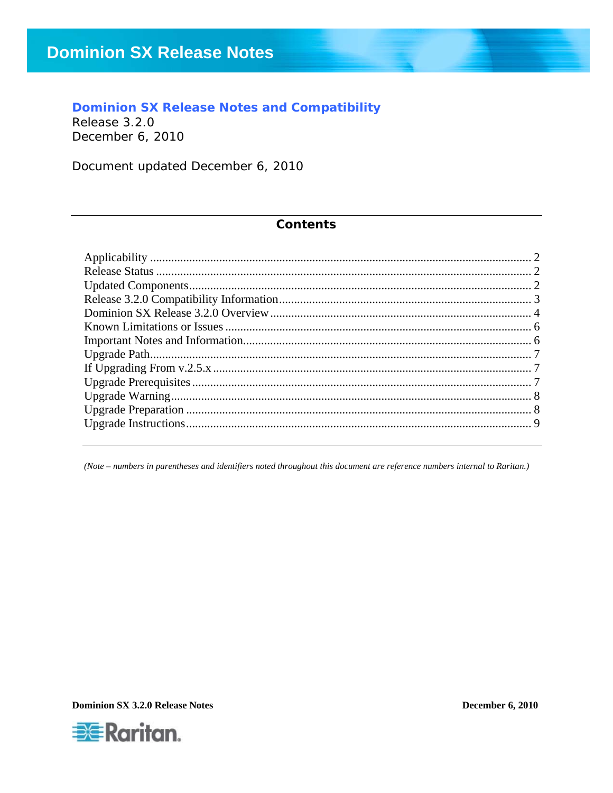### **Dominion SX Release Notes and Compatibility**

Release 3.2.0 December 6, 2010

Document updated December 6, 2010

#### **Contents**

(Note - numbers in parentheses and identifiers noted throughout this document are reference numbers internal to Raritan.)

**Dominion SX 3.2.0 Release Notes** 

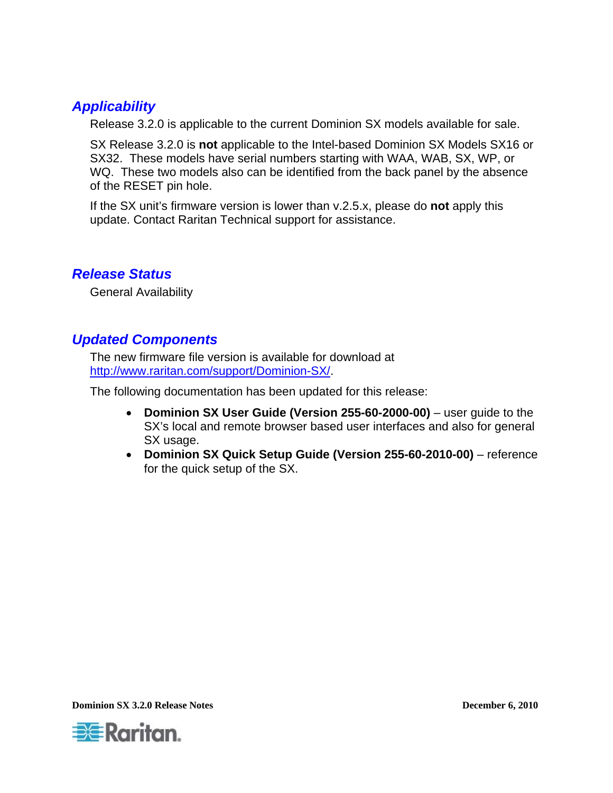# <span id="page-1-0"></span>*Applicability*

Release 3.2.0 is applicable to the current Dominion SX models available for sale.

SX Release 3.2.0 is **not** applicable to the Intel-based Dominion SX Models SX16 or SX32. These models have serial numbers starting with WAA, WAB, SX, WP, or WQ. These two models also can be identified from the back panel by the absence of the RESET pin hole.

If the SX unit's firmware version is lower than v.2.5.x, please do **not** apply this update. Contact Raritan Technical support for assistance.

# *Release Status*

General Availability

# *Updated Components*

The new firmware file version is available for download at <http://www.raritan.com/support/Dominion-SX/>.

The following documentation has been updated for this release:

- **Dominion SX User Guide (Version 255-60-2000-00)** user guide to the SX's local and remote browser based user interfaces and also for general SX usage.
- **Dominion SX Quick Setup Guide (Version 255-60-2010-00)**  reference for the quick setup of the SX.

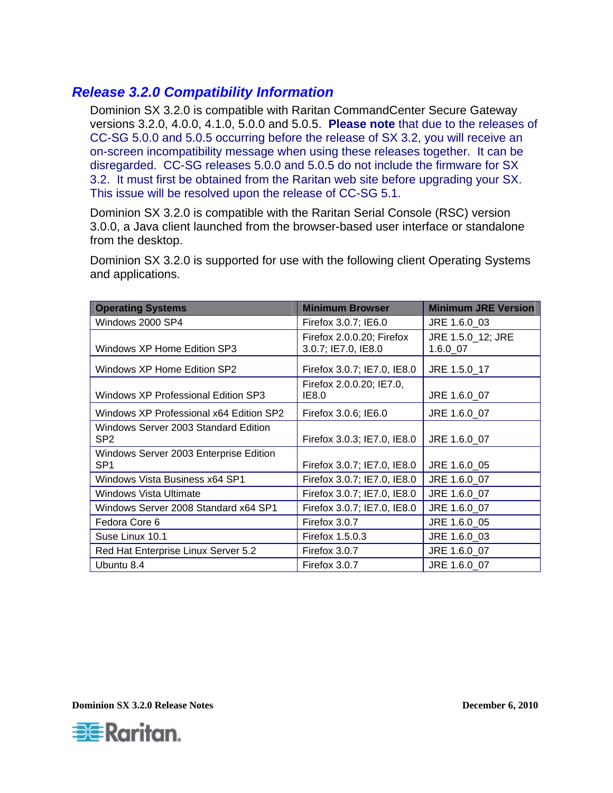## <span id="page-2-0"></span>*Release 3.2.0 Compatibility Information*

Dominion SX 3.2.0 is compatible with Raritan CommandCenter Secure Gateway versions 3.2.0, 4.0.0, 4.1.0, 5.0.0 and 5.0.5. **Please note** that due to the releases of CC-SG 5.0.0 and 5.0.5 occurring before the release of SX 3.2, you will receive an on-screen incompatibility message when using these releases together. It can be disregarded. CC-SG releases 5.0.0 and 5.0.5 do not include the firmware for SX 3.2. It must first be obtained from the Raritan web site before upgrading your SX. This issue will be resolved upon the release of CC-SG 5.1.

Dominion SX 3.2.0 is compatible with the Raritan Serial Console (RSC) version 3.0.0, a Java client launched from the browser-based user interface or standalone from the desktop.

Dominion SX 3.2.0 is supported for use with the following client Operating Systems and applications.

| <b>Operating Systems</b>                | <b>Minimum Browser</b>      | <b>Minimum JRE Version</b> |
|-----------------------------------------|-----------------------------|----------------------------|
| Windows 2000 SP4                        | Firefox 3.0.7; IE6.0        | JRE 1.6.0 03               |
|                                         | Firefox 2.0.0.20; Firefox   | JRE 1.5.0_12; JRE          |
| Windows XP Home Edition SP3             | 3.0.7; IE7.0, IE8.0         | 1.6.0 07                   |
| Windows XP Home Edition SP2             | Firefox 3.0.7; IE7.0, IE8.0 | JRE 1.5.0_17               |
|                                         | Firefox 2.0.0.20; IE7.0,    |                            |
| Windows XP Professional Edition SP3     | IE8.0                       | JRE 1.6.0 07               |
| Windows XP Professional x64 Edition SP2 | Firefox 3.0.6; IE6.0        | JRE 1.6.0 07               |
| Windows Server 2003 Standard Edition    |                             |                            |
| SP <sub>2</sub>                         | Firefox 3.0.3; IE7.0, IE8.0 | JRE 1.6.0 07               |
| Windows Server 2003 Enterprise Edition  |                             |                            |
| SP <sub>1</sub>                         | Firefox 3.0.7; IE7.0, IE8.0 | JRE 1.6.0 05               |
| Windows Vista Business x64 SP1          | Firefox 3.0.7; IE7.0, IE8.0 | JRE 1.6.0 07               |
| Windows Vista Ultimate                  | Firefox 3.0.7; IE7.0, IE8.0 | JRE 1.6.0 07               |
| Windows Server 2008 Standard x64 SP1    | Firefox 3.0.7; IE7.0, IE8.0 | JRE 1.6.0_07               |
| Fedora Core 6                           | Firefox 3.0.7               | JRE 1.6.0 05               |
| Suse Linux 10.1                         | Firefox 1.5.0.3             | JRE 1.6.0 03               |
| Red Hat Enterprise Linux Server 5.2     | Firefox 3.0.7               | JRE 1.6.0_07               |
| Ubuntu 8.4                              | Firefox 3.0.7               | JRE 1.6.0 07               |

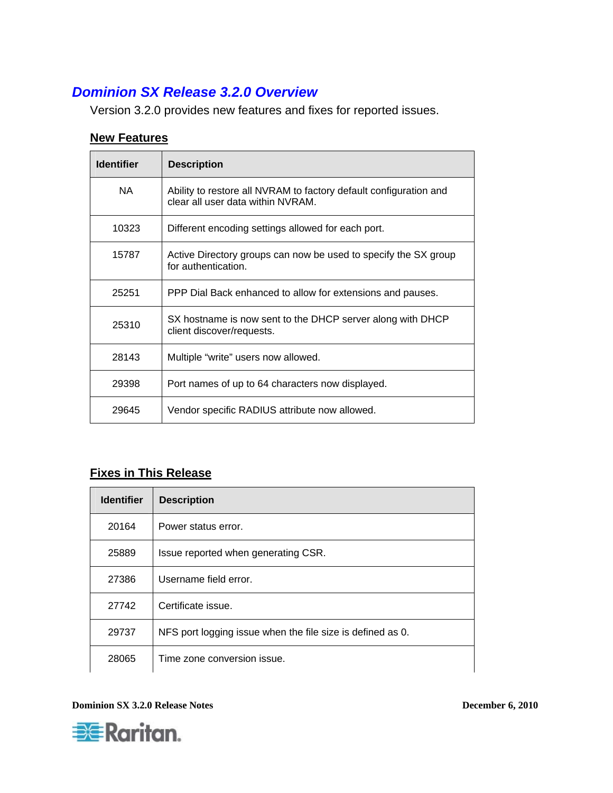# <span id="page-3-0"></span>*Dominion SX Release 3.2.0 Overview*

Version 3.2.0 provides new features and fixes for reported issues.

#### **New Features**

| <b>Identifier</b> | <b>Description</b>                                                                                     |
|-------------------|--------------------------------------------------------------------------------------------------------|
| NA.               | Ability to restore all NVRAM to factory default configuration and<br>clear all user data within NVRAM. |
| 10323             | Different encoding settings allowed for each port.                                                     |
| 15787             | Active Directory groups can now be used to specify the SX group<br>for authentication.                 |
| 25251             | PPP Dial Back enhanced to allow for extensions and pauses.                                             |
| 25310             | SX hostname is now sent to the DHCP server along with DHCP<br>client discover/requests.                |
| 28143             | Multiple "write" users now allowed.                                                                    |
| 29398             | Port names of up to 64 characters now displayed.                                                       |
| 29645             | Vendor specific RADIUS attribute now allowed.                                                          |

### **Fixes in This Release**

| <b>Identifier</b> | <b>Description</b>                                         |
|-------------------|------------------------------------------------------------|
| 20164             | Power status error.                                        |
| 25889             | Issue reported when generating CSR.                        |
| 27386             | Username field error.                                      |
| 27742             | Certificate issue.                                         |
| 29737             | NFS port logging issue when the file size is defined as 0. |
| 28065             | Time zone conversion issue.                                |

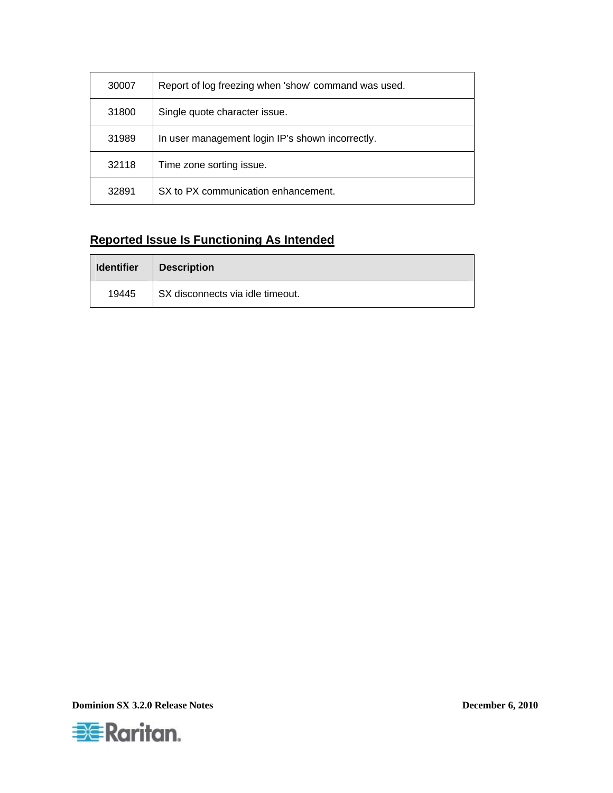| 30007 | Report of log freezing when 'show' command was used. |
|-------|------------------------------------------------------|
| 31800 | Single quote character issue.                        |
| 31989 | In user management login IP's shown incorrectly.     |
| 32118 | Time zone sorting issue.                             |
| 32891 | SX to PX communication enhancement.                  |

## **Reported Issue Is Functioning As Intended**

| <b>Identifier</b> | <b>Description</b>               |
|-------------------|----------------------------------|
| 19445             | SX disconnects via idle timeout. |

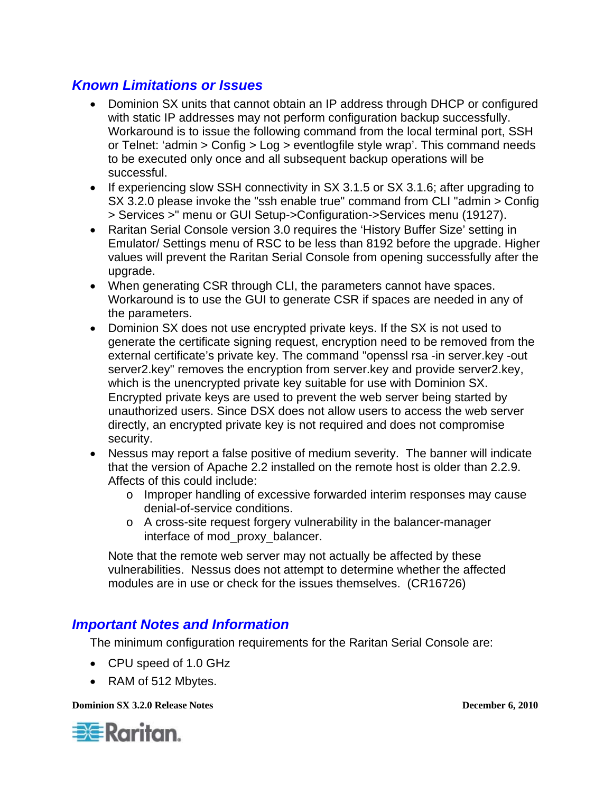# <span id="page-5-0"></span>*Known Limitations or Issues*

- Dominion SX units that cannot obtain an IP address through DHCP or configured with static IP addresses may not perform configuration backup successfully. Workaround is to issue the following command from the local terminal port, SSH or Telnet: 'admin > Config > Log > eventlogfile style wrap'. This command needs to be executed only once and all subsequent backup operations will be successful.
- If experiencing slow SSH connectivity in SX 3.1.5 or SX 3.1.6; after upgrading to SX 3.2.0 please invoke the "ssh enable true" command from CLI "admin > Config > Services >" menu or GUI Setup->Configuration->Services menu (19127).
- Raritan Serial Console version 3.0 requires the 'History Buffer Size' setting in Emulator/ Settings menu of RSC to be less than 8192 before the upgrade. Higher values will prevent the Raritan Serial Console from opening successfully after the upgrade.
- When generating CSR through CLI, the parameters cannot have spaces. Workaround is to use the GUI to generate CSR if spaces are needed in any of the parameters.
- Dominion SX does not use encrypted private keys. If the SX is not used to generate the certificate signing request, encryption need to be removed from the external certificate's private key. The command "openssl rsa -in server.key -out server2.key" removes the encryption from server.key and provide server2.key, which is the unencrypted private key suitable for use with Dominion SX. Encrypted private keys are used to prevent the web server being started by unauthorized users. Since DSX does not allow users to access the web server directly, an encrypted private key is not required and does not compromise security.
- Nessus may report a false positive of medium severity. The banner will indicate that the version of Apache 2.2 installed on the remote host is older than 2.2.9. Affects of this could include:
	- o Improper handling of excessive forwarded interim responses may cause denial-of-service conditions.
	- o A cross-site request forgery vulnerability in the balancer-manager interface of mod\_proxy\_balancer.

Note that the remote web server may not actually be affected by these vulnerabilities. Nessus does not attempt to determine whether the affected modules are in use or check for the issues themselves. (CR16726)

### *Important Notes and Information*

The minimum configuration requirements for the Raritan Serial Console are:

- CPU speed of 1.0 GHz
- RAM of 512 Mbytes.

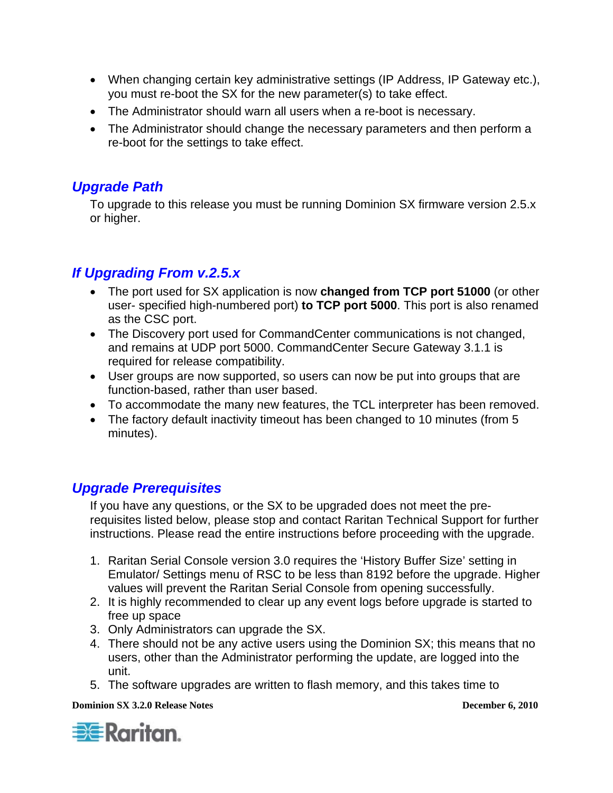- <span id="page-6-0"></span>• When changing certain key administrative settings (IP Address, IP Gateway etc.), you must re-boot the SX for the new parameter(s) to take effect.
- The Administrator should warn all users when a re-boot is necessary.
- The Administrator should change the necessary parameters and then perform a re-boot for the settings to take effect.

# *Upgrade Path*

To upgrade to this release you must be running Dominion SX firmware version 2.5.x or higher.

# *If Upgrading From v.2.5.x*

- The port used for SX application is now **changed from TCP port 51000** (or other user- specified high-numbered port) **to TCP port 5000**. This port is also renamed as the CSC port.
- The Discovery port used for CommandCenter communications is not changed, and remains at UDP port 5000. CommandCenter Secure Gateway 3.1.1 is required for release compatibility.
- User groups are now supported, so users can now be put into groups that are function-based, rather than user based.
- To accommodate the many new features, the TCL interpreter has been removed.
- The factory default inactivity timeout has been changed to 10 minutes (from 5 minutes).

# *Upgrade Prerequisites*

If you have any questions, or the SX to be upgraded does not meet the prerequisites listed below, please stop and contact Raritan Technical Support for further instructions. Please read the entire instructions before proceeding with the upgrade.

- 1. Raritan Serial Console version 3.0 requires the 'History Buffer Size' setting in Emulator/ Settings menu of RSC to be less than 8192 before the upgrade. Higher values will prevent the Raritan Serial Console from opening successfully.
- 2. It is highly recommended to clear up any event logs before upgrade is started to free up space
- 3. Only Administrators can upgrade the SX.
- 4. There should not be any active users using the Dominion SX; this means that no users, other than the Administrator performing the update, are logged into the unit.
- 5. The software upgrades are written to flash memory, and this takes time to

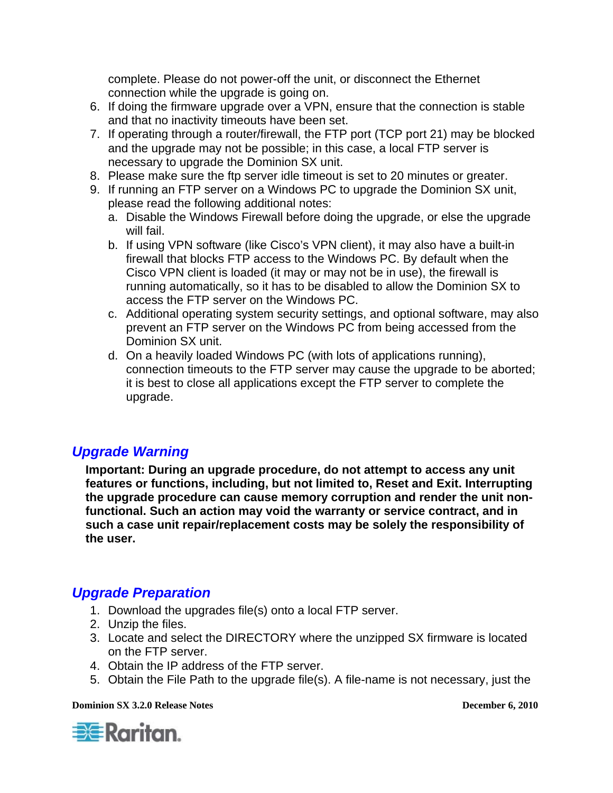<span id="page-7-0"></span>complete. Please do not power-off the unit, or disconnect the Ethernet connection while the upgrade is going on.

- 6. If doing the firmware upgrade over a VPN, ensure that the connection is stable and that no inactivity timeouts have been set.
- 7. If operating through a router/firewall, the FTP port (TCP port 21) may be blocked and the upgrade may not be possible; in this case, a local FTP server is necessary to upgrade the Dominion SX unit.
- 8. Please make sure the ftp server idle timeout is set to 20 minutes or greater.
- 9. If running an FTP server on a Windows PC to upgrade the Dominion SX unit, please read the following additional notes:
	- a. Disable the Windows Firewall before doing the upgrade, or else the upgrade will fail.
	- b. If using VPN software (like Cisco's VPN client), it may also have a built-in firewall that blocks FTP access to the Windows PC. By default when the Cisco VPN client is loaded (it may or may not be in use), the firewall is running automatically, so it has to be disabled to allow the Dominion SX to access the FTP server on the Windows PC.
	- c. Additional operating system security settings, and optional software, may also prevent an FTP server on the Windows PC from being accessed from the Dominion SX unit.
	- d. On a heavily loaded Windows PC (with lots of applications running), connection timeouts to the FTP server may cause the upgrade to be aborted; it is best to close all applications except the FTP server to complete the upgrade.

# *Upgrade Warning*

**Important: During an upgrade procedure, do not attempt to access any unit features or functions, including, but not limited to, Reset and Exit. Interrupting the upgrade procedure can cause memory corruption and render the unit nonfunctional. Such an action may void the warranty or service contract, and in such a case unit repair/replacement costs may be solely the responsibility of the user.** 

# *Upgrade Preparation*

- 1. Download the upgrades file(s) onto a local FTP server.
- 2. Unzip the files.
- 3. Locate and select the DIRECTORY where the unzipped SX firmware is located on the FTP server.
- 4. Obtain the IP address of the FTP server.
- 5. Obtain the File Path to the upgrade file(s). A file-name is not necessary, just the

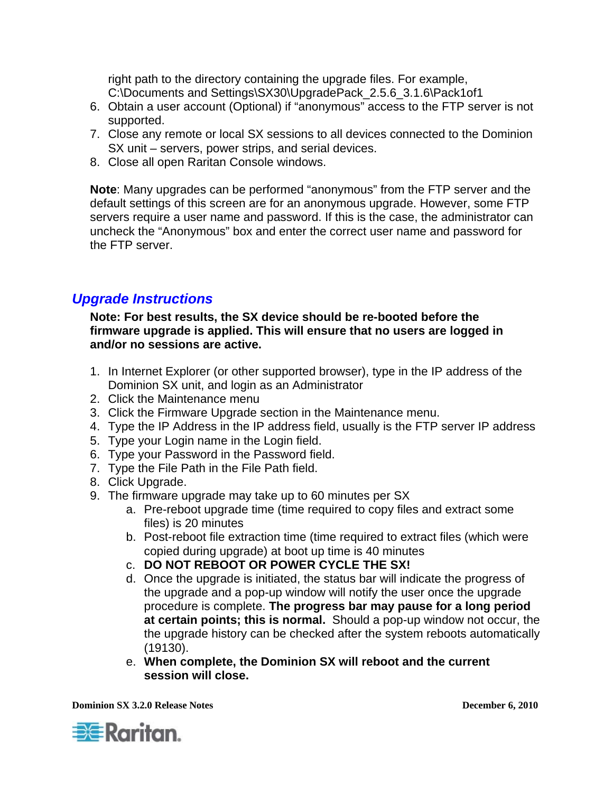<span id="page-8-0"></span>right path to the directory containing the upgrade files. For example, C:\Documents and Settings\SX30\UpgradePack\_2.5.6\_3.1.6\Pack1of1

- 6. Obtain a user account (Optional) if "anonymous" access to the FTP server is not supported.
- 7. Close any remote or local SX sessions to all devices connected to the Dominion SX unit – servers, power strips, and serial devices.
- 8. Close all open Raritan Console windows.

**Note**: Many upgrades can be performed "anonymous" from the FTP server and the default settings of this screen are for an anonymous upgrade. However, some FTP servers require a user name and password. If this is the case, the administrator can uncheck the "Anonymous" box and enter the correct user name and password for the FTP server.

# *Upgrade Instructions*

**Note: For best results, the SX device should be re-booted before the firmware upgrade is applied. This will ensure that no users are logged in and/or no sessions are active.** 

- 1. In Internet Explorer (or other supported browser), type in the IP address of the Dominion SX unit, and login as an Administrator
- 2. Click the Maintenance menu
- 3. Click the Firmware Upgrade section in the Maintenance menu.
- 4. Type the IP Address in the IP address field, usually is the FTP server IP address
- 5. Type your Login name in the Login field.
- 6. Type your Password in the Password field.
- 7. Type the File Path in the File Path field.
- 8. Click Upgrade.
- 9. The firmware upgrade may take up to 60 minutes per SX
	- a. Pre-reboot upgrade time (time required to copy files and extract some files) is 20 minutes
	- b. Post-reboot file extraction time (time required to extract files (which were copied during upgrade) at boot up time is 40 minutes
	- c. **DO NOT REBOOT OR POWER CYCLE THE SX!**
	- d. Once the upgrade is initiated, the status bar will indicate the progress of the upgrade and a pop-up window will notify the user once the upgrade procedure is complete. **The progress bar may pause for a long period at certain points; this is normal.** Should a pop-up window not occur, the the upgrade history can be checked after the system reboots automatically (19130).
	- e. **When complete, the Dominion SX will reboot and the current session will close.**